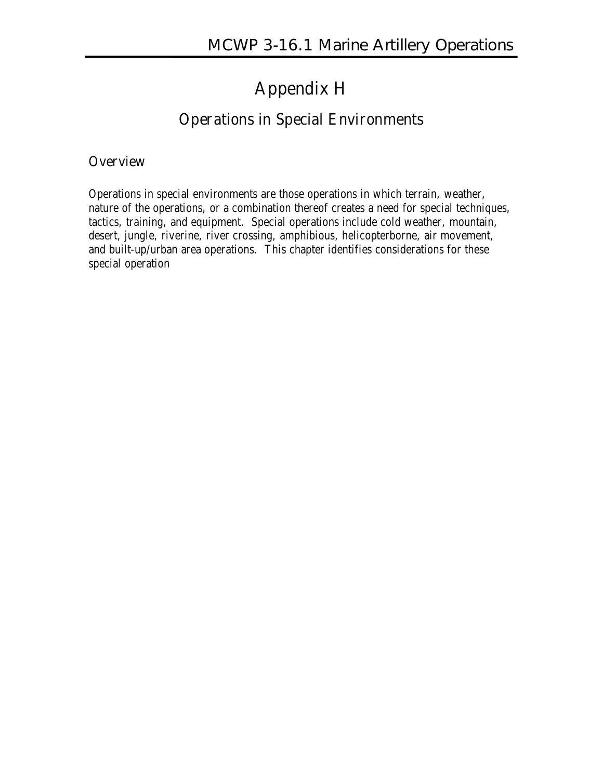### **Appendix H**

#### **Operations in Special Environments**

#### **Overview**

Operations in special environments are those operations in which terrain, weather, nature of the operations, or a combination thereof creates a need for special techniques, tactics, training, and equipment. Special operations include cold weather, mountain, desert, jungle, riverine, river crossing, amphibious, helicopterborne, air movement, and built-up/urban area operations. This chapter identifies considerations for these special operation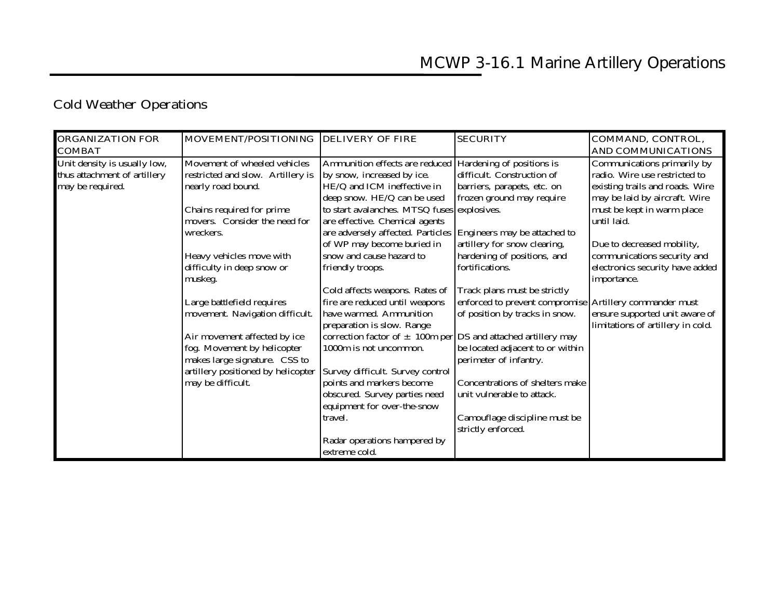# **Cold Weather Operations**

| <b>ORGANIZATION FOR</b>      | MOVEMENT/POSITIONING DELIVERY OF FIRE |                                                                   | <b>SECURITY</b>                                         | COMMAND, CONTROL,                 |
|------------------------------|---------------------------------------|-------------------------------------------------------------------|---------------------------------------------------------|-----------------------------------|
| <b>COMBAT</b>                |                                       |                                                                   |                                                         | <b>AND COMMUNICATIONS</b>         |
| Unit density is usually low, | Movement of wheeled vehicles          | Ammunition effects are reduced                                    | Hardening of positions is                               | Communications primarily by       |
| thus attachment of artillery | restricted and slow. Artillery is     | by snow, increased by ice.                                        | difficult. Construction of                              | radio. Wire use restricted to     |
| may be required.             | nearly road bound.                    | HE/Q and ICM ineffective in                                       | barriers, parapets, etc. on                             | existing trails and roads. Wire   |
|                              |                                       | deep snow. HE/Q can be used                                       | frozen ground may require                               | may be laid by aircraft. Wire     |
|                              | Chains required for prime             | to start avalanches. MTSQ fuses explosives.                       |                                                         | must be kept in warm place        |
|                              | movers. Consider the need for         | are effective. Chemical agents                                    |                                                         | until laid.                       |
|                              | wreckers.                             | are adversely affected. Particles Engineers may be attached to    |                                                         |                                   |
|                              |                                       | of WP may become buried in                                        | artillery for snow clearing,                            | Due to decreased mobility,        |
|                              | Heavy vehicles move with              | snow and cause hazard to                                          | hardening of positions, and                             | communications security and       |
|                              | difficulty in deep snow or            | friendly troops.                                                  | fortifications.                                         | electronics security have added   |
|                              | muskeg.                               |                                                                   |                                                         | importance.                       |
|                              |                                       | Cold affects weapons. Rates of                                    | Track plans must be strictly                            |                                   |
|                              | Large battlefield requires            | fire are reduced until weapons                                    | enforced to prevent compromise Artillery commander must |                                   |
|                              | movement. Navigation difficult.       | have warmed. Ammunition                                           | of position by tracks in snow.                          | ensure supported unit aware of    |
|                              |                                       | preparation is slow. Range                                        |                                                         | limitations of artillery in cold. |
|                              | Air movement affected by ice          | correction factor of $\pm$ 100m per DS and attached artillery may |                                                         |                                   |
|                              | fog. Movement by helicopter           | 1000m is not uncommon.                                            | be located adjacent to or within                        |                                   |
|                              | makes large signature. CSS to         |                                                                   | perimeter of infantry.                                  |                                   |
|                              | artillery positioned by helicopter    | Survey difficult. Survey control                                  |                                                         |                                   |
|                              | may be difficult.                     | points and markers become                                         | Concentrations of shelters make                         |                                   |
|                              |                                       | obscured. Survey parties need                                     | unit vulnerable to attack.                              |                                   |
|                              |                                       | equipment for over-the-snow                                       |                                                         |                                   |
|                              |                                       | travel.                                                           | Camouflage discipline must be                           |                                   |
|                              |                                       |                                                                   | strictly enforced.                                      |                                   |
|                              |                                       | Radar operations hampered by                                      |                                                         |                                   |
|                              |                                       | extreme cold.                                                     |                                                         |                                   |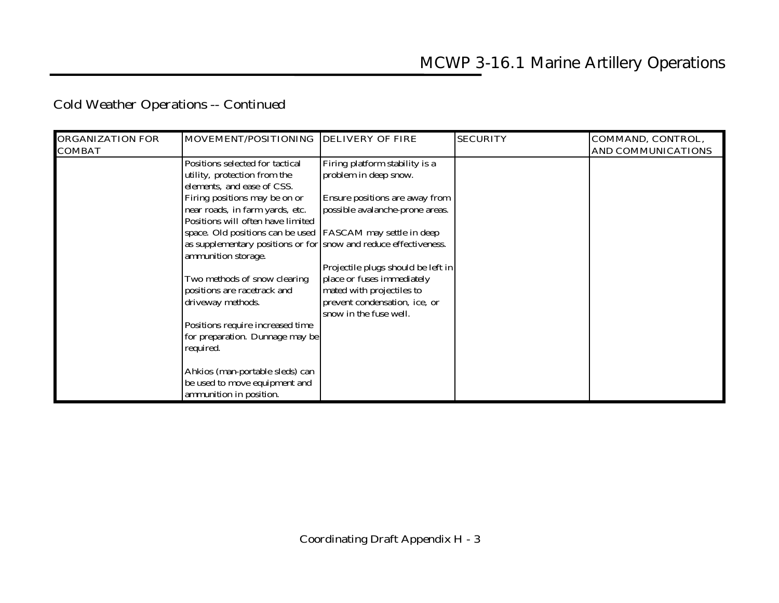## **Cold Weather Operations -- Continued**

| <b>ORGANIZATION FOR</b><br><b>COMBAT</b> | MOVEMENT/POSITIONING DELIVERY OF FIRE                                                                                                                  |                                                                                                                                                          | <b>SECURITY</b> | COMMAND, CONTROL,<br><b>AND COMMUNICATIONS</b> |
|------------------------------------------|--------------------------------------------------------------------------------------------------------------------------------------------------------|----------------------------------------------------------------------------------------------------------------------------------------------------------|-----------------|------------------------------------------------|
|                                          | Positions selected for tactical<br>utility, protection from the<br>elements, and ease of CSS.                                                          | Firing platform stability is a<br>problem in deep snow.                                                                                                  |                 |                                                |
|                                          | Firing positions may be on or<br>near roads, in farm yards, etc.<br>Positions will often have limited                                                  | Ensure positions are away from<br>possible avalanche-prone areas.                                                                                        |                 |                                                |
|                                          | space. Old positions can be used [FASCAM may settle in deep<br>as supplementary positions or for snow and reduce effectiveness.<br>ammunition storage. |                                                                                                                                                          |                 |                                                |
|                                          | Two methods of snow clearing<br>positions are racetrack and<br>driveway methods.                                                                       | Projectile plugs should be left in<br>place or fuses immediately<br>mated with projectiles to<br>prevent condensation, ice, or<br>snow in the fuse well. |                 |                                                |
|                                          | Positions require increased time<br>for preparation. Dunnage may be<br>required.                                                                       |                                                                                                                                                          |                 |                                                |
|                                          | Ahkios (man-portable sleds) can<br>be used to move equipment and<br>ammunition in position.                                                            |                                                                                                                                                          |                 |                                                |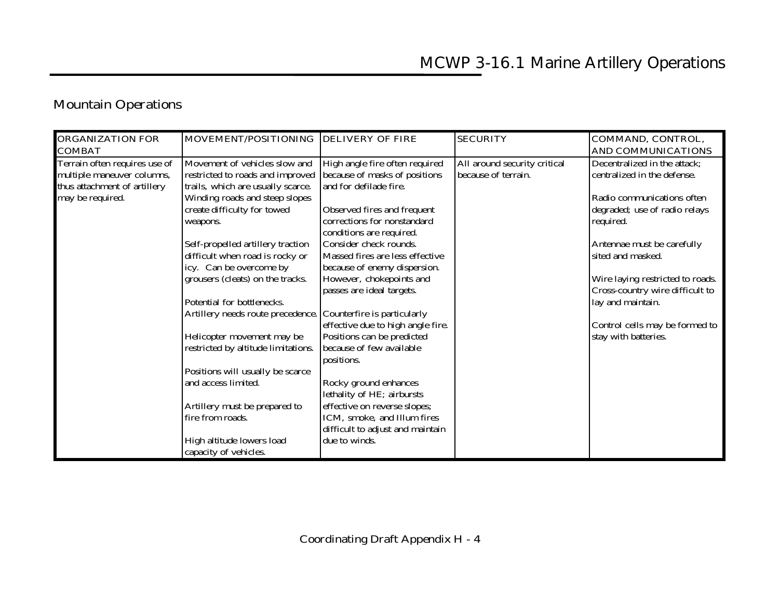### **Mountain Operations**

| <b>ORGANIZATION FOR</b><br><b>COMBAT</b> | MOVEMENT/POSITIONING DELIVERY OF FIRE                         |                                   | <b>SECURITY</b>              | COMMAND, CONTROL,<br><b>AND COMMUNICATIONS</b> |
|------------------------------------------|---------------------------------------------------------------|-----------------------------------|------------------------------|------------------------------------------------|
| Terrain often requires use of            | Movement of vehicles slow and                                 | High angle fire often required    | All around security critical | Decentralized in the attack;                   |
| multiple maneuver columns,               | restricted to roads and improved                              | because of masks of positions     | because of terrain.          | centralized in the defense.                    |
| thus attachment of artillery             | trails, which are usually scarce.                             | and for defilade fire.            |                              |                                                |
| may be required.                         | Winding roads and steep slopes                                |                                   |                              | Radio communications often                     |
|                                          | create difficulty for towed                                   | Observed fires and frequent       |                              | degraded; use of radio relays                  |
|                                          | weapons.                                                      | corrections for nonstandard       |                              | required.                                      |
|                                          |                                                               | conditions are required.          |                              |                                                |
|                                          | Self-propelled artillery traction                             | Consider check rounds.            |                              | Antennae must be carefully                     |
|                                          | difficult when road is rocky or                               | Massed fires are less effective   |                              | sited and masked.                              |
|                                          | icy. Can be overcome by                                       | because of enemy dispersion.      |                              |                                                |
|                                          | grousers (cleats) on the tracks.                              | However, chokepoints and          |                              | Wire laying restricted to roads.               |
|                                          |                                                               | passes are ideal targets.         |                              | Cross-country wire difficult to                |
|                                          | Potential for bottlenecks.                                    |                                   |                              | lay and maintain.                              |
|                                          | Artillery needs route precedence. Counterfire is particularly |                                   |                              |                                                |
|                                          |                                                               | effective due to high angle fire. |                              | Control cells may be formed to                 |
|                                          | Helicopter movement may be                                    | Positions can be predicted        |                              | stay with batteries.                           |
|                                          | restricted by altitude limitations.                           | because of few available          |                              |                                                |
|                                          |                                                               | positions.                        |                              |                                                |
|                                          | Positions will usually be scarce                              |                                   |                              |                                                |
|                                          | and access limited.                                           | Rocky ground enhances             |                              |                                                |
|                                          |                                                               | lethality of HE; airbursts        |                              |                                                |
|                                          | Artillery must be prepared to                                 | effective on reverse slopes;      |                              |                                                |
|                                          | fire from roads.                                              | ICM, smoke, and Illum fires       |                              |                                                |
|                                          |                                                               | difficult to adjust and maintain  |                              |                                                |
|                                          | High altitude lowers load                                     | due to winds.                     |                              |                                                |
|                                          | capacity of vehicles.                                         |                                   |                              |                                                |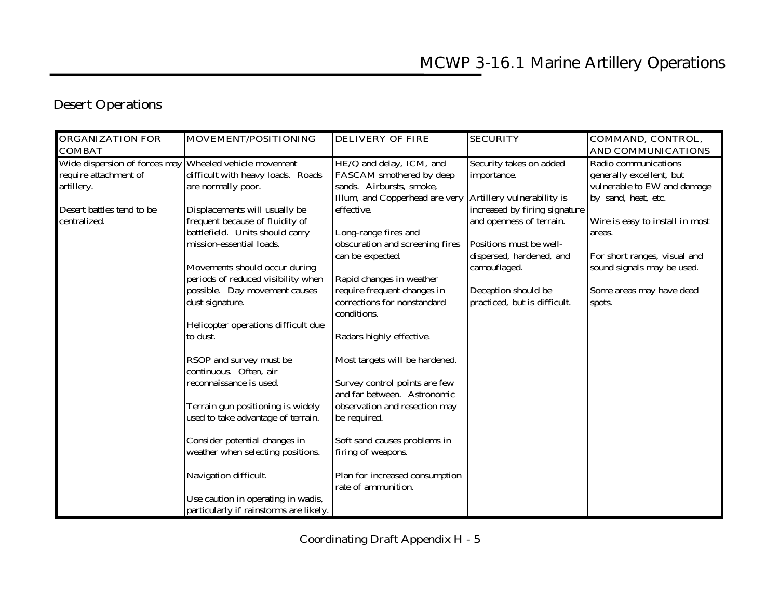### **Desert Operations**

| <b>ORGANIZATION FOR</b>                                | MOVEMENT/POSITIONING                   | <b>DELIVERY OF FIRE</b>         | <b>SECURITY</b>               | COMMAND, CONTROL,               |
|--------------------------------------------------------|----------------------------------------|---------------------------------|-------------------------------|---------------------------------|
| <b>COMBAT</b>                                          |                                        |                                 |                               | <b>AND COMMUNICATIONS</b>       |
| Wide dispersion of forces may Wheeled vehicle movement |                                        | HE/Q and delay, ICM, and        | Security takes on added       | Radio communications            |
| require attachment of                                  | difficult with heavy loads. Roads      | FASCAM smothered by deep        | importance.                   | generally excellent, but        |
| artillery.                                             | are normally poor.                     | sands. Airbursts, smoke,        |                               | vulnerable to EW and damage     |
|                                                        |                                        | Illum, and Copperhead are very  | Artillery vulnerability is    | by sand, heat, etc.             |
| Desert battles tend to be                              | Displacements will usually be          | effective.                      | increased by firing signature |                                 |
| centralized.                                           | frequent because of fluidity of        |                                 | and openness of terrain.      | Wire is easy to install in most |
|                                                        | battlefield. Units should carry        | Long-range fires and            |                               | areas.                          |
|                                                        | mission-essential loads.               | obscuration and screening fires | Positions must be well-       |                                 |
|                                                        |                                        | can be expected.                | dispersed, hardened, and      | For short ranges, visual and    |
|                                                        | Movements should occur during          |                                 | camouflaged.                  | sound signals may be used.      |
|                                                        | periods of reduced visibility when     | Rapid changes in weather        |                               |                                 |
|                                                        | possible. Day movement causes          | require frequent changes in     | Deception should be           | Some areas may have dead        |
|                                                        | dust signature.                        | corrections for nonstandard     | practiced, but is difficult.  | spots.                          |
|                                                        |                                        | conditions.                     |                               |                                 |
|                                                        | Helicopter operations difficult due    |                                 |                               |                                 |
|                                                        | to dust.                               | Radars highly effective.        |                               |                                 |
|                                                        | RSOP and survey must be                | Most targets will be hardened.  |                               |                                 |
|                                                        | continuous. Often, air                 |                                 |                               |                                 |
|                                                        | reconnaissance is used.                | Survey control points are few   |                               |                                 |
|                                                        |                                        | and far between. Astronomic     |                               |                                 |
|                                                        | Terrain gun positioning is widely      | observation and resection may   |                               |                                 |
|                                                        | used to take advantage of terrain.     | be required.                    |                               |                                 |
|                                                        | Consider potential changes in          | Soft sand causes problems in    |                               |                                 |
|                                                        | weather when selecting positions.      | firing of weapons.              |                               |                                 |
|                                                        |                                        |                                 |                               |                                 |
|                                                        | Navigation difficult.                  | Plan for increased consumption  |                               |                                 |
|                                                        |                                        | rate of ammunition.             |                               |                                 |
|                                                        | Use caution in operating in wadis,     |                                 |                               |                                 |
|                                                        | particularly if rainstorms are likely. |                                 |                               |                                 |

**Coordinating Draft Appendix H - 5**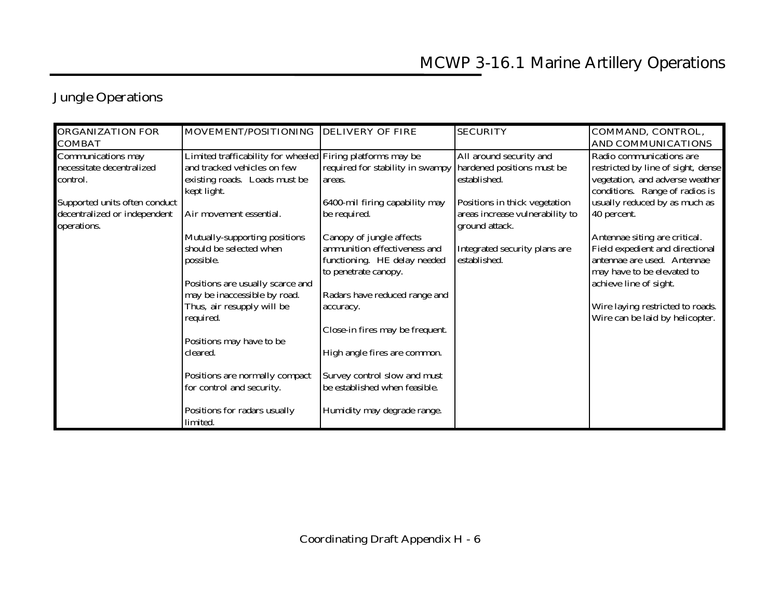|  |  | <b>Jungle Operations</b> |
|--|--|--------------------------|
|--|--|--------------------------|

| <b>ORGANIZATION FOR</b>       | MOVEMENT/POSITIONING DELIVERY OF FIRE                      |                                  | <b>SECURITY</b>                 | COMMAND, CONTROL,                  |
|-------------------------------|------------------------------------------------------------|----------------------------------|---------------------------------|------------------------------------|
| <b>COMBAT</b>                 |                                                            |                                  |                                 | <b>AND COMMUNICATIONS</b>          |
| Communications may            | Limited trafficability for wheeled Firing platforms may be |                                  | All around security and         | Radio communications are           |
| necessitate decentralized     | and tracked vehicles on few                                | required for stability in swampy | hardened positions must be      | restricted by line of sight, dense |
| control.                      | existing roads. Loads must be                              | areas.                           | established.                    | vegetation, and adverse weather    |
|                               | kept light.                                                |                                  |                                 | conditions. Range of radios is     |
| Supported units often conduct |                                                            | 6400-mil firing capability may   | Positions in thick vegetation   | usually reduced by as much as      |
| decentralized or independent  | Air movement essential.                                    | be required.                     | areas increase vulnerability to | 40 percent.                        |
| operations.                   |                                                            |                                  | ground attack.                  |                                    |
|                               | Mutually-supporting positions                              | Canopy of jungle affects         |                                 | Antennae siting are critical.      |
|                               | should be selected when                                    | ammunition effectiveness and     | Integrated security plans are   | Field expedient and directional    |
|                               | possible.                                                  | functioning. HE delay needed     | established.                    | antennae are used. Antennae        |
|                               |                                                            | to penetrate canopy.             |                                 | may have to be elevated to         |
|                               | Positions are usually scarce and                           |                                  |                                 | achieve line of sight.             |
|                               | may be inaccessible by road.                               | Radars have reduced range and    |                                 |                                    |
|                               | Thus, air resupply will be                                 | accuracy.                        |                                 | Wire laying restricted to roads.   |
|                               | required.                                                  |                                  |                                 | Wire can be laid by helicopter.    |
|                               |                                                            | Close-in fires may be frequent.  |                                 |                                    |
|                               | Positions may have to be                                   |                                  |                                 |                                    |
|                               | cleared.                                                   | High angle fires are common.     |                                 |                                    |
|                               | Positions are normally compact                             | Survey control slow and must     |                                 |                                    |
|                               | for control and security.                                  | be established when feasible.    |                                 |                                    |
|                               | Positions for radars usually<br>limited.                   | Humidity may degrade range.      |                                 |                                    |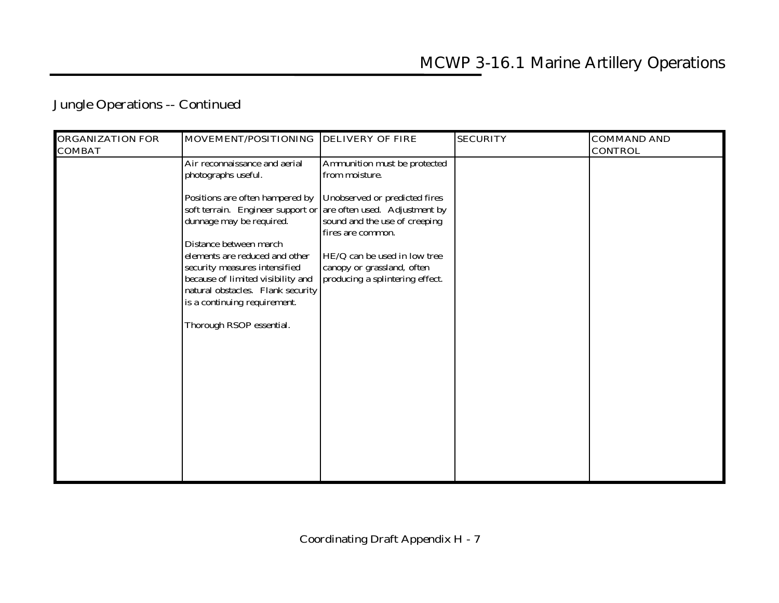### **Jungle Operations -- Continued**

| <b>ORGANIZATION FOR</b> | MOVEMENT/POSITIONING                                            | <b>DELIVERY OF FIRE</b>         | <b>SECURITY</b> | <b>COMMAND AND</b> |
|-------------------------|-----------------------------------------------------------------|---------------------------------|-----------------|--------------------|
| <b>COMBAT</b>           |                                                                 |                                 |                 | <b>CONTROL</b>     |
|                         | Air reconnaissance and aerial                                   | Ammunition must be protected    |                 |                    |
|                         | photographs useful.                                             | from moisture.                  |                 |                    |
|                         | Positions are often hampered by                                 | Unobserved or predicted fires   |                 |                    |
|                         | soft terrain. Engineer support or are often used. Adjustment by |                                 |                 |                    |
|                         | dunnage may be required.                                        | sound and the use of creeping   |                 |                    |
|                         |                                                                 | fires are common.               |                 |                    |
|                         | Distance between march                                          |                                 |                 |                    |
|                         | elements are reduced and other                                  | HE/Q can be used in low tree    |                 |                    |
|                         | security measures intensified                                   | canopy or grassland, often      |                 |                    |
|                         | because of limited visibility and                               | producing a splintering effect. |                 |                    |
|                         | natural obstacles. Flank security                               |                                 |                 |                    |
|                         | is a continuing requirement.                                    |                                 |                 |                    |
|                         | Thorough RSOP essential.                                        |                                 |                 |                    |
|                         |                                                                 |                                 |                 |                    |
|                         |                                                                 |                                 |                 |                    |
|                         |                                                                 |                                 |                 |                    |
|                         |                                                                 |                                 |                 |                    |
|                         |                                                                 |                                 |                 |                    |
|                         |                                                                 |                                 |                 |                    |
|                         |                                                                 |                                 |                 |                    |
|                         |                                                                 |                                 |                 |                    |
|                         |                                                                 |                                 |                 |                    |
|                         |                                                                 |                                 |                 |                    |
|                         |                                                                 |                                 |                 |                    |
|                         |                                                                 |                                 |                 |                    |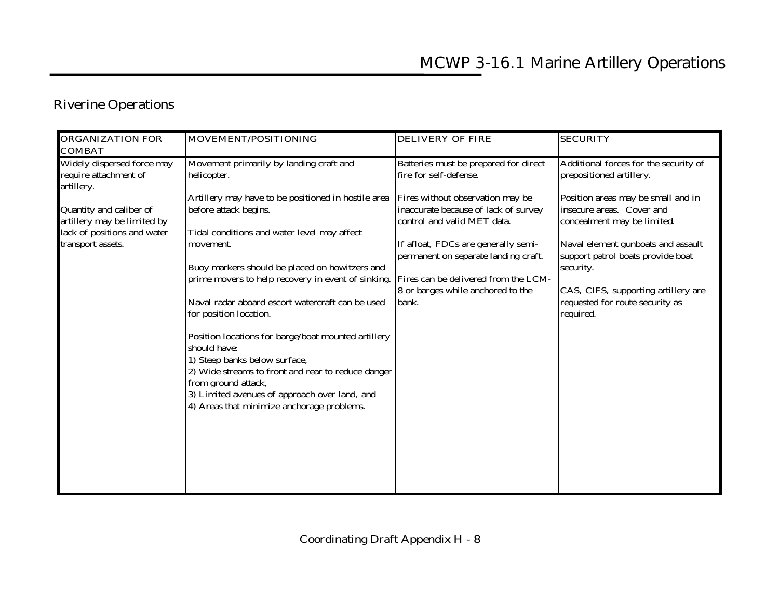### **Riverine Operations**

| <b>ORGANIZATION FOR</b>                                                                                                                                                                          | MOVEMENT/POSITIONING                                                                                                                                                                                                                                                                                                                                                                                                                                                                                                                                                                                                                                                         | <b>DELIVERY OF FIRE</b>                                                                                                                                                                                                                                                                                                                         | <b>SECURITY</b>                                                                                                                                                                                                                                                                                                                                    |
|--------------------------------------------------------------------------------------------------------------------------------------------------------------------------------------------------|------------------------------------------------------------------------------------------------------------------------------------------------------------------------------------------------------------------------------------------------------------------------------------------------------------------------------------------------------------------------------------------------------------------------------------------------------------------------------------------------------------------------------------------------------------------------------------------------------------------------------------------------------------------------------|-------------------------------------------------------------------------------------------------------------------------------------------------------------------------------------------------------------------------------------------------------------------------------------------------------------------------------------------------|----------------------------------------------------------------------------------------------------------------------------------------------------------------------------------------------------------------------------------------------------------------------------------------------------------------------------------------------------|
| <b>COMBAT</b><br>Widely dispersed force may<br>require attachment of<br>artillery.<br>Quantity and caliber of<br>artillery may be limited by<br>lack of positions and water<br>transport assets. | Movement primarily by landing craft and<br>helicopter.<br>Artillery may have to be positioned in hostile area<br>before attack begins.<br>Tidal conditions and water level may affect<br>movement.<br>Buoy markers should be placed on howitzers and<br>prime movers to help recovery in event of sinking.<br>Naval radar aboard escort watercraft can be used<br>for position location.<br>Position locations for barge/boat mounted artillery<br>should have:<br>1) Steep banks below surface,<br>2) Wide streams to front and rear to reduce danger<br>from ground attack,<br>3) Limited avenues of approach over land, and<br>4) Areas that minimize anchorage problems. | Batteries must be prepared for direct<br>fire for self-defense.<br>Fires without observation may be<br>inaccurate because of lack of survey<br>control and valid MET data.<br>If afloat, FDCs are generally semi-<br>permanent on separate landing craft.<br>Fires can be delivered from the LCM-<br>8 or barges while anchored to the<br>bank. | Additional forces for the security of<br>prepositioned artillery.<br>Position areas may be small and in<br>insecure areas. Cover and<br>concealment may be limited.<br>Naval element gunboats and assault<br>support patrol boats provide boat<br>security.<br>CAS, CIFS, supporting artillery are<br>requested for route security as<br>required. |
|                                                                                                                                                                                                  |                                                                                                                                                                                                                                                                                                                                                                                                                                                                                                                                                                                                                                                                              |                                                                                                                                                                                                                                                                                                                                                 |                                                                                                                                                                                                                                                                                                                                                    |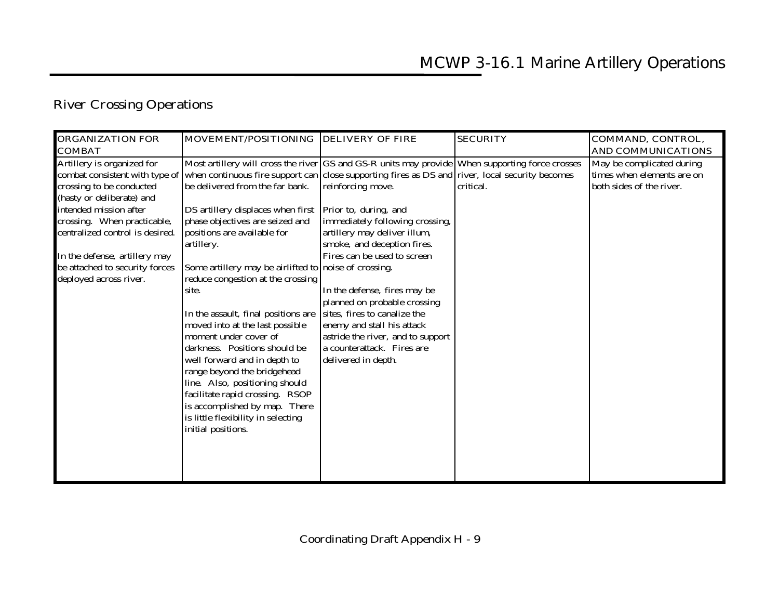# **River Crossing Operations**

| <b>ORGANIZATION FOR</b>         | MOVEMENT/POSITIONING DELIVERY OF FIRE                                                             |                                   | <b>SECURITY</b> | COMMAND, CONTROL,          |
|---------------------------------|---------------------------------------------------------------------------------------------------|-----------------------------------|-----------------|----------------------------|
| <b>COMBAT</b>                   |                                                                                                   |                                   |                 | <b>AND COMMUNICATIONS</b>  |
| Artillery is organized for      | Most artillery will cross the river GS and GS-R units may provide When supporting force crosses   |                                   |                 | May be complicated during  |
| combat consistent with type of  | when continuous fire support can close supporting fires as $DS$ and river, local security becomes |                                   |                 | times when elements are on |
| crossing to be conducted        | be delivered from the far bank.                                                                   | reinforcing move.                 | critical.       | both sides of the river.   |
| (hasty or deliberate) and       |                                                                                                   |                                   |                 |                            |
| intended mission after          | DS artillery displaces when first                                                                 | Prior to, during, and             |                 |                            |
| crossing. When practicable,     | phase objectives are seized and                                                                   | immediately following crossing,   |                 |                            |
| centralized control is desired. | positions are available for                                                                       | artillery may deliver illum,      |                 |                            |
|                                 | artillery.                                                                                        | smoke, and deception fires.       |                 |                            |
| In the defense, artillery may   |                                                                                                   | Fires can be used to screen       |                 |                            |
| be attached to security forces  | Some artillery may be airlifted to noise of crossing.                                             |                                   |                 |                            |
| deployed across river.          | reduce congestion at the crossing                                                                 |                                   |                 |                            |
|                                 | site.                                                                                             | In the defense, fires may be      |                 |                            |
|                                 |                                                                                                   | planned on probable crossing      |                 |                            |
|                                 | In the assault, final positions are                                                               | sites, fires to canalize the      |                 |                            |
|                                 | moved into at the last possible                                                                   | enemy and stall his attack        |                 |                            |
|                                 | moment under cover of                                                                             | astride the river, and to support |                 |                            |
|                                 | darkness. Positions should be                                                                     | a counterattack. Fires are        |                 |                            |
|                                 | well forward and in depth to                                                                      | delivered in depth.               |                 |                            |
|                                 | range beyond the bridgehead                                                                       |                                   |                 |                            |
|                                 | line. Also, positioning should                                                                    |                                   |                 |                            |
|                                 | facilitate rapid crossing. RSOP                                                                   |                                   |                 |                            |
|                                 | is accomplished by map. There                                                                     |                                   |                 |                            |
|                                 | is little flexibility in selecting                                                                |                                   |                 |                            |
|                                 | initial positions.                                                                                |                                   |                 |                            |
|                                 |                                                                                                   |                                   |                 |                            |
|                                 |                                                                                                   |                                   |                 |                            |
|                                 |                                                                                                   |                                   |                 |                            |
|                                 |                                                                                                   |                                   |                 |                            |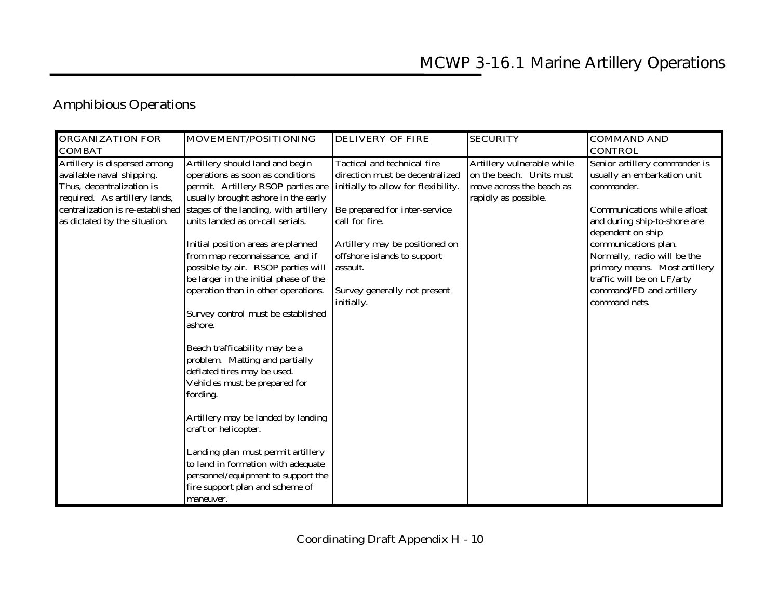### **Amphibious Operations**

|                                                                                                                                                                                                                                                                                                                                                                                                                                                                                                                                                                                                                                                                                                                                                                                                                                                                                                                                                                                                                                                                           | <b>DELIVERY OF FIRE</b>                                                                                                                                                                                                                                   | <b>SECURITY</b>                                                                                            | <b>COMMAND AND</b>                                                                                                                                                                                                                                                                                                                |
|---------------------------------------------------------------------------------------------------------------------------------------------------------------------------------------------------------------------------------------------------------------------------------------------------------------------------------------------------------------------------------------------------------------------------------------------------------------------------------------------------------------------------------------------------------------------------------------------------------------------------------------------------------------------------------------------------------------------------------------------------------------------------------------------------------------------------------------------------------------------------------------------------------------------------------------------------------------------------------------------------------------------------------------------------------------------------|-----------------------------------------------------------------------------------------------------------------------------------------------------------------------------------------------------------------------------------------------------------|------------------------------------------------------------------------------------------------------------|-----------------------------------------------------------------------------------------------------------------------------------------------------------------------------------------------------------------------------------------------------------------------------------------------------------------------------------|
| <b>COMBAT</b>                                                                                                                                                                                                                                                                                                                                                                                                                                                                                                                                                                                                                                                                                                                                                                                                                                                                                                                                                                                                                                                             |                                                                                                                                                                                                                                                           |                                                                                                            | <b>CONTROL</b>                                                                                                                                                                                                                                                                                                                    |
| Artillery should land and begin<br>Artillery is dispersed among<br>available naval shipping.<br>operations as soon as conditions<br>Thus, decentralization is<br>permit. Artillery RSOP parties are<br>required. As artillery lands,<br>usually brought ashore in the early<br>centralization is re-established<br>stages of the landing, with artillery<br>units landed as on-call serials.<br>as dictated by the situation.<br>Initial position areas are planned<br>from map reconnaissance, and if<br>possible by air. RSOP parties will<br>assault.<br>be larger in the initial phase of the<br>operation than in other operations.<br>initially.<br>Survey control must be established<br>ashore.<br>Beach trafficability may be a<br>problem. Matting and partially<br>deflated tires may be used.<br>Vehicles must be prepared for<br>fording.<br>Artillery may be landed by landing<br>craft or helicopter.<br>Landing plan must permit artillery<br>to land in formation with adequate<br>personnel/equipment to support the<br>fire support plan and scheme of | Tactical and technical fire<br>direction must be decentralized<br>initially to allow for flexibility.<br>Be prepared for inter-service<br>call for fire.<br>Artillery may be positioned on<br>offshore islands to support<br>Survey generally not present | Artillery vulnerable while<br>on the beach. Units must<br>move across the beach as<br>rapidly as possible. | Senior artillery commander is<br>usually an embarkation unit<br>commander.<br>Communications while afloat<br>and during ship-to-shore are<br>dependent on ship<br>communications plan.<br>Normally, radio will be the<br>primary means. Most artillery<br>traffic will be on LF/arty<br>command/FD and artillery<br>command nets. |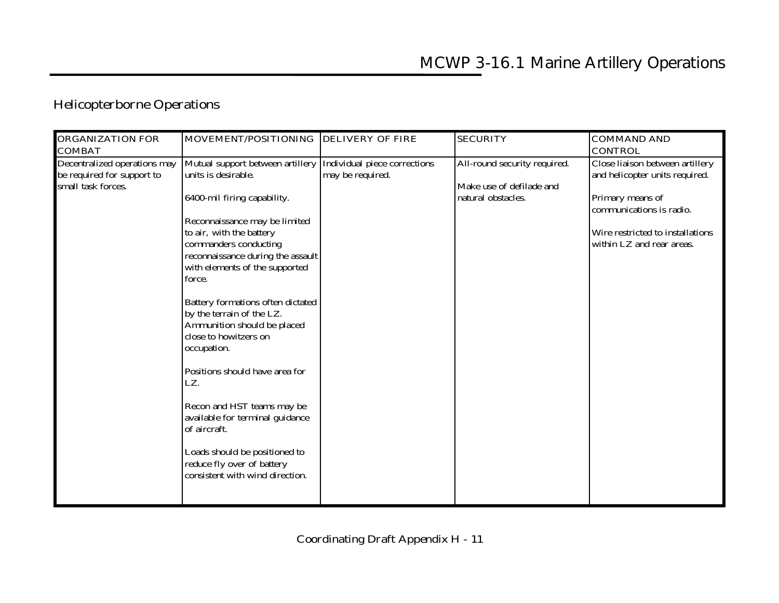### **Helicopterborne Operations**

| <b>ORGANIZATION FOR</b>                                                                           | MOVEMENT/POSITIONING DELIVERY OF FIRE                                                                                                                                                                                                                         |                                                  | <b>SECURITY</b>                                                                | <b>COMMAND AND</b>                                                                                                                                                                                   |
|---------------------------------------------------------------------------------------------------|---------------------------------------------------------------------------------------------------------------------------------------------------------------------------------------------------------------------------------------------------------------|--------------------------------------------------|--------------------------------------------------------------------------------|------------------------------------------------------------------------------------------------------------------------------------------------------------------------------------------------------|
|                                                                                                   |                                                                                                                                                                                                                                                               |                                                  |                                                                                |                                                                                                                                                                                                      |
| <b>COMBAT</b><br>Decentralized operations may<br>be required for support to<br>small task forces. | Mutual support between artillery<br>units is desirable.<br>6400-mil firing capability.<br>Reconnaissance may be limited<br>to air, with the battery<br>commanders conducting<br>reconnaissance during the assault<br>with elements of the supported<br>force. | Individual piece corrections<br>may be required. | All-round security required.<br>Make use of defilade and<br>natural obstacles. | <b>CONTROL</b><br>Close liaison between artillery<br>and helicopter units required.<br>Primary means of<br>communications is radio.<br>Wire restricted to installations<br>within LZ and rear areas. |
|                                                                                                   | Battery formations often dictated<br>by the terrain of the LZ.<br>Ammunition should be placed<br>close to howitzers on<br>occupation.                                                                                                                         |                                                  |                                                                                |                                                                                                                                                                                                      |
|                                                                                                   | Positions should have area for<br>LZ.<br>Recon and HST teams may be<br>available for terminal guidance<br>of aircraft.<br>Loads should be positioned to<br>reduce fly over of battery<br>consistent with wind direction.                                      |                                                  |                                                                                |                                                                                                                                                                                                      |
|                                                                                                   |                                                                                                                                                                                                                                                               |                                                  |                                                                                |                                                                                                                                                                                                      |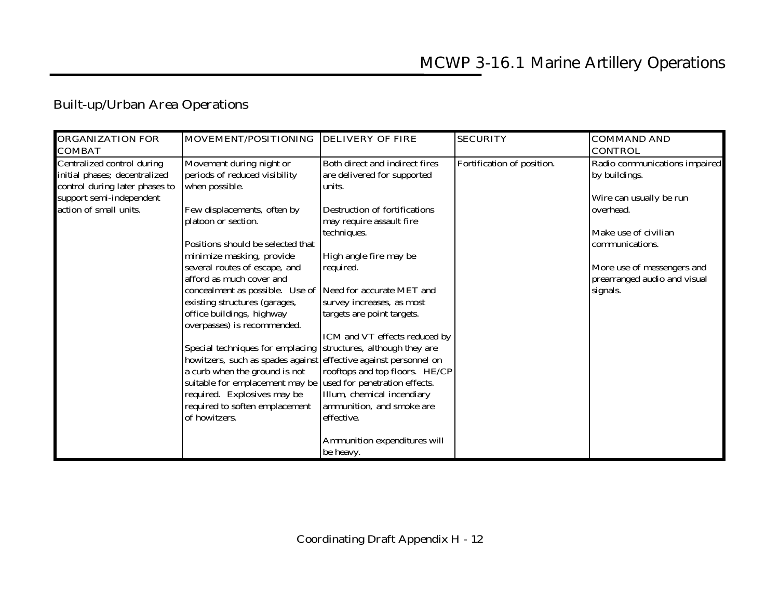## **Built-up/Urban Area Operations**

| <b>ORGANIZATION FOR</b><br><b>COMBAT</b>                                                      | MOVEMENT/POSITIONING DELIVERY OF FIRE                                                                                                |                                                                         | <b>SECURITY</b>            | <b>COMMAND AND</b><br><b>CONTROL</b>                       |
|-----------------------------------------------------------------------------------------------|--------------------------------------------------------------------------------------------------------------------------------------|-------------------------------------------------------------------------|----------------------------|------------------------------------------------------------|
| Centralized control during<br>initial phases; decentralized<br>control during later phases to | Movement during night or<br>periods of reduced visibility<br>when possible.                                                          | Both direct and indirect fires<br>are delivered for supported<br>units. | Fortification of position. | Radio communications impaired<br>by buildings.             |
| support semi-independent                                                                      |                                                                                                                                      |                                                                         |                            | Wire can usually be run                                    |
| action of small units.                                                                        | Few displacements, often by<br>platoon or section.                                                                                   | Destruction of fortifications<br>may require assault fire               |                            | overhead.                                                  |
|                                                                                               |                                                                                                                                      | techniques.                                                             |                            | Make use of civilian                                       |
|                                                                                               | Positions should be selected that<br>minimize masking, provide                                                                       | High angle fire may be                                                  |                            | communications.                                            |
|                                                                                               | several routes of escape, and<br>afford as much cover and                                                                            | required.                                                               |                            | More use of messengers and<br>prearranged audio and visual |
|                                                                                               | concealment as possible. Use of Need for accurate MET and                                                                            |                                                                         |                            | signals.                                                   |
|                                                                                               | existing structures (garages,<br>office buildings, highway<br>overpasses) is recommended.                                            | survey increases, as most<br>targets are point targets.                 |                            |                                                            |
|                                                                                               |                                                                                                                                      | ICM and VT effects reduced by                                           |                            |                                                            |
|                                                                                               | Special techniques for emplacing structures, although they are                                                                       |                                                                         |                            |                                                            |
|                                                                                               | howitzers, such as spades against effective against personnel on<br>a curb when the ground is not<br>suitable for emplacement may be | rooftops and top floors. HE/CP<br>used for penetration effects.         |                            |                                                            |
|                                                                                               | required. Explosives may be                                                                                                          | Illum, chemical incendiary                                              |                            |                                                            |
|                                                                                               | required to soften emplacement                                                                                                       | ammunition, and smoke are                                               |                            |                                                            |
|                                                                                               | of howitzers.                                                                                                                        | effective.                                                              |                            |                                                            |
|                                                                                               |                                                                                                                                      | Ammunition expenditures will<br>be heavy.                               |                            |                                                            |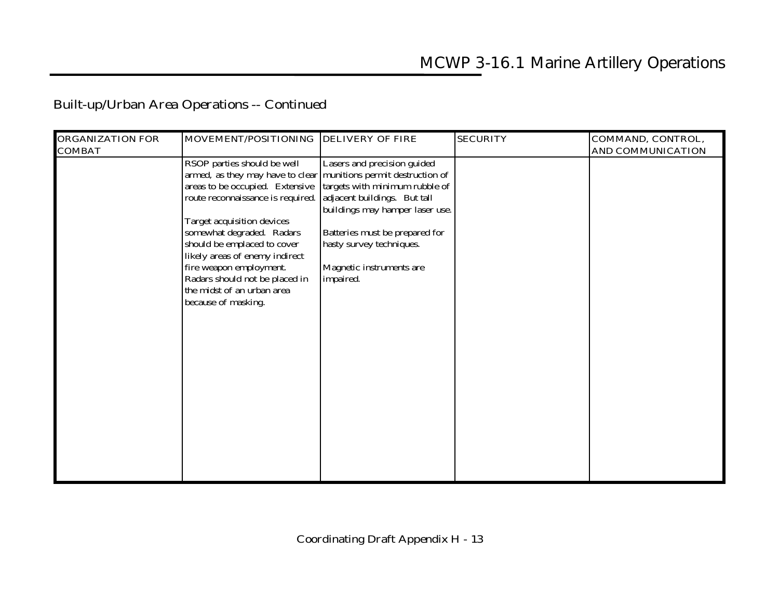### **Built-up/Urban Area Operations -- Continued**

|                                   |                                                                                                                                                                                                                                                                           | <b>SECURITY</b>                                                                                                                                                                                                                                                                                                                                      | COMMAND, CONTROL,        |
|-----------------------------------|---------------------------------------------------------------------------------------------------------------------------------------------------------------------------------------------------------------------------------------------------------------------------|------------------------------------------------------------------------------------------------------------------------------------------------------------------------------------------------------------------------------------------------------------------------------------------------------------------------------------------------------|--------------------------|
|                                   |                                                                                                                                                                                                                                                                           |                                                                                                                                                                                                                                                                                                                                                      | <b>AND COMMUNICATION</b> |
|                                   |                                                                                                                                                                                                                                                                           |                                                                                                                                                                                                                                                                                                                                                      |                          |
|                                   |                                                                                                                                                                                                                                                                           |                                                                                                                                                                                                                                                                                                                                                      |                          |
| areas to be occupied. Extensive   |                                                                                                                                                                                                                                                                           |                                                                                                                                                                                                                                                                                                                                                      |                          |
| route reconnaissance is required. |                                                                                                                                                                                                                                                                           |                                                                                                                                                                                                                                                                                                                                                      |                          |
|                                   |                                                                                                                                                                                                                                                                           |                                                                                                                                                                                                                                                                                                                                                      |                          |
|                                   |                                                                                                                                                                                                                                                                           |                                                                                                                                                                                                                                                                                                                                                      |                          |
|                                   |                                                                                                                                                                                                                                                                           |                                                                                                                                                                                                                                                                                                                                                      |                          |
|                                   |                                                                                                                                                                                                                                                                           |                                                                                                                                                                                                                                                                                                                                                      |                          |
|                                   |                                                                                                                                                                                                                                                                           |                                                                                                                                                                                                                                                                                                                                                      |                          |
|                                   |                                                                                                                                                                                                                                                                           |                                                                                                                                                                                                                                                                                                                                                      |                          |
|                                   |                                                                                                                                                                                                                                                                           |                                                                                                                                                                                                                                                                                                                                                      |                          |
|                                   |                                                                                                                                                                                                                                                                           |                                                                                                                                                                                                                                                                                                                                                      |                          |
|                                   |                                                                                                                                                                                                                                                                           |                                                                                                                                                                                                                                                                                                                                                      |                          |
|                                   |                                                                                                                                                                                                                                                                           |                                                                                                                                                                                                                                                                                                                                                      |                          |
|                                   |                                                                                                                                                                                                                                                                           |                                                                                                                                                                                                                                                                                                                                                      |                          |
|                                   |                                                                                                                                                                                                                                                                           |                                                                                                                                                                                                                                                                                                                                                      |                          |
|                                   |                                                                                                                                                                                                                                                                           |                                                                                                                                                                                                                                                                                                                                                      |                          |
|                                   |                                                                                                                                                                                                                                                                           |                                                                                                                                                                                                                                                                                                                                                      |                          |
|                                   |                                                                                                                                                                                                                                                                           |                                                                                                                                                                                                                                                                                                                                                      |                          |
|                                   |                                                                                                                                                                                                                                                                           |                                                                                                                                                                                                                                                                                                                                                      |                          |
|                                   |                                                                                                                                                                                                                                                                           |                                                                                                                                                                                                                                                                                                                                                      |                          |
|                                   |                                                                                                                                                                                                                                                                           |                                                                                                                                                                                                                                                                                                                                                      |                          |
|                                   |                                                                                                                                                                                                                                                                           |                                                                                                                                                                                                                                                                                                                                                      |                          |
|                                   |                                                                                                                                                                                                                                                                           |                                                                                                                                                                                                                                                                                                                                                      |                          |
|                                   |                                                                                                                                                                                                                                                                           |                                                                                                                                                                                                                                                                                                                                                      |                          |
|                                   |                                                                                                                                                                                                                                                                           |                                                                                                                                                                                                                                                                                                                                                      |                          |
|                                   |                                                                                                                                                                                                                                                                           |                                                                                                                                                                                                                                                                                                                                                      |                          |
|                                   | RSOP parties should be well<br>Target acquisition devices<br>somewhat degraded. Radars<br>should be emplaced to cover<br>likely areas of enemy indirect<br>fire weapon employment.<br>Radars should not be placed in<br>the midst of an urban area<br>because of masking. | MOVEMENT/POSITIONING DELIVERY OF FIRE<br>Lasers and precision guided<br>armed, as they may have to clear munitions permit destruction of<br>targets with minimum rubble of<br>adjacent buildings. But tall<br>buildings may hamper laser use.<br>Batteries must be prepared for<br>hasty survey techniques.<br>Magnetic instruments are<br>impaired. |                          |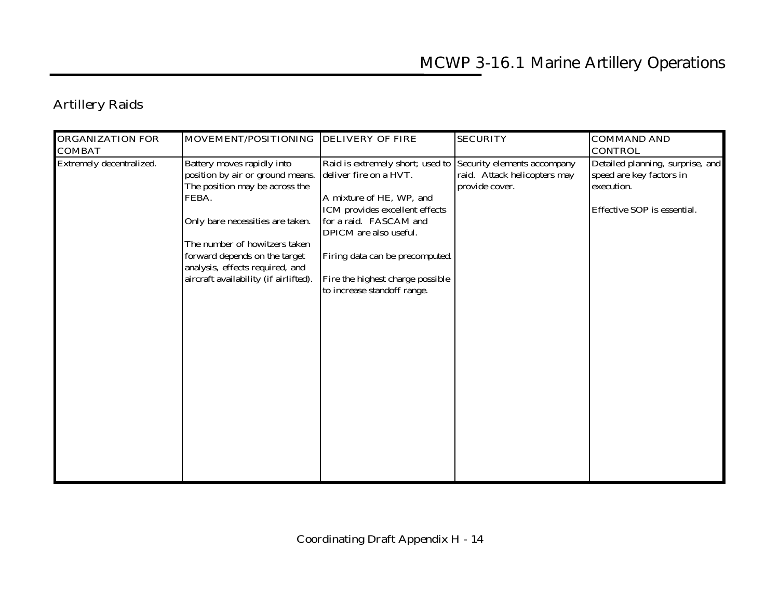## **Artillery Raids**

| <b>ORGANIZATION FOR</b><br><b>COMBAT</b> | MOVEMENT/POSITIONING DELIVERY OF FIRE                                                                                                                                                                                                                                                       |                                                                                                                                                                                                                                                                                    | <b>SECURITY</b>                                                               | <b>COMMAND AND</b><br><b>CONTROL</b>                                                                      |
|------------------------------------------|---------------------------------------------------------------------------------------------------------------------------------------------------------------------------------------------------------------------------------------------------------------------------------------------|------------------------------------------------------------------------------------------------------------------------------------------------------------------------------------------------------------------------------------------------------------------------------------|-------------------------------------------------------------------------------|-----------------------------------------------------------------------------------------------------------|
| Extremely decentralized.                 | Battery moves rapidly into<br>position by air or ground means.<br>The position may be across the<br>FEBA.<br>Only bare necessities are taken.<br>The number of howitzers taken<br>forward depends on the target<br>analysis, effects required, and<br>aircraft availability (if airlifted). | Raid is extremely short; used to<br>deliver fire on a HVT.<br>A mixture of HE, WP, and<br>ICM provides excellent effects<br>for a raid. FASCAM and<br>DPICM are also useful.<br>Firing data can be precomputed.<br>Fire the highest charge possible<br>to increase standoff range. | Security elements accompany<br>raid. Attack helicopters may<br>provide cover. | Detailed planning, surprise, and<br>speed are key factors in<br>execution.<br>Effective SOP is essential. |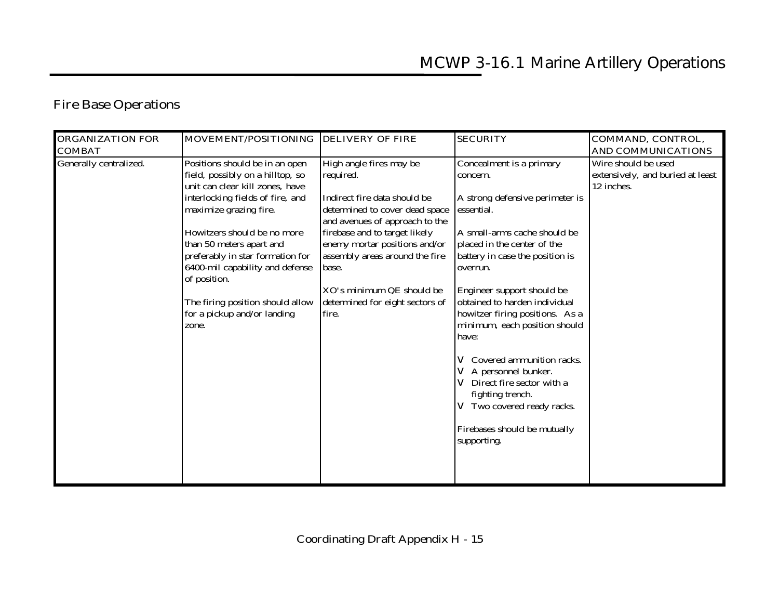### **Fire Base Operations**

| <b>ORGANIZATION FOR</b>                 | MOVEMENT/POSITIONING                                                                                                                                                                                                       | <b>DELIVERY OF FIRE</b>                                                                                                                                                            | <b>SECURITY</b>                                                                                                                                                                                                                                                                                                                                                                                                                | COMMAND, CONTROL,                                                                                  |
|-----------------------------------------|----------------------------------------------------------------------------------------------------------------------------------------------------------------------------------------------------------------------------|------------------------------------------------------------------------------------------------------------------------------------------------------------------------------------|--------------------------------------------------------------------------------------------------------------------------------------------------------------------------------------------------------------------------------------------------------------------------------------------------------------------------------------------------------------------------------------------------------------------------------|----------------------------------------------------------------------------------------------------|
| <b>COMBAT</b><br>Generally centralized. | Positions should be in an open<br>field, possibly on a hilltop, so<br>unit can clear kill zones, have<br>interlocking fields of fire, and<br>maximize grazing fire.                                                        | High angle fires may be<br>required.<br>Indirect fire data should be<br>determined to cover dead space<br>and avenues of approach to the                                           | Concealment is a primary<br>concern.<br>A strong defensive perimeter is<br>essential.                                                                                                                                                                                                                                                                                                                                          | <b>AND COMMUNICATIONS</b><br>Wire should be used<br>extensively, and buried at least<br>12 inches. |
|                                         | Howitzers should be no more<br>than 50 meters apart and<br>preferably in star formation for<br>6400-mil capability and defense<br>of position.<br>The firing position should allow<br>for a pickup and/or landing<br>zone. | firebase and to target likely<br>enemy mortar positions and/or<br>assembly areas around the fire<br>base.<br>XO's minimum QE should be<br>determined for eight sectors of<br>fire. | A small-arms cache should be<br>placed in the center of the<br>battery in case the position is<br>overrun.<br>Engineer support should be<br>obtained to harden individual<br>howitzer firing positions. As a<br>minimum, each position should<br>have:<br>Covered ammunition racks.<br>V<br>A personnel bunker.<br>Direct fire sector with a<br>fighting trench.<br>V Two covered ready racks.<br>Firebases should be mutually |                                                                                                    |
|                                         |                                                                                                                                                                                                                            |                                                                                                                                                                                    | supporting.                                                                                                                                                                                                                                                                                                                                                                                                                    |                                                                                                    |